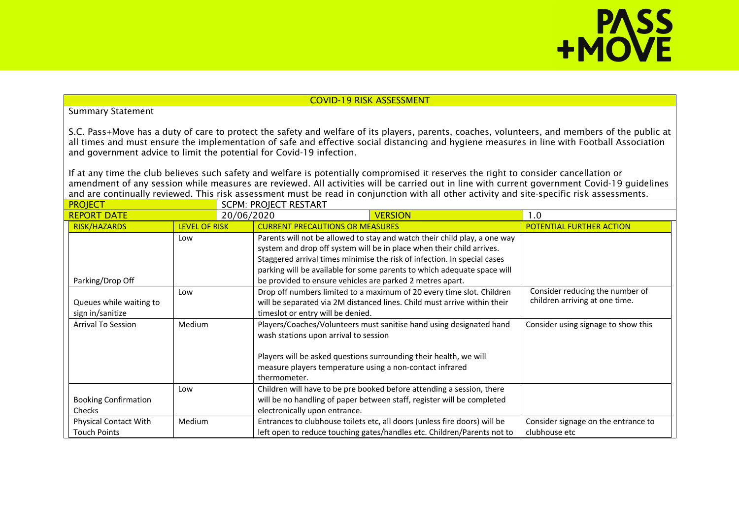# **PASS**<br>+MOVE

### COVID-19 RISK ASSESSMENT

### Summary Statement

S.C. Pass+Move has a duty of care to protect the safety and welfare of its players, parents, coaches, volunteers, and members of the public at all times and must ensure the implementation of safe and effective social distancing and hygiene measures in line with Football Association and government advice to limit the potential for Covid-19 infection.

If at any time the club believes such safety and welfare is potentially compromised it reserves the right to consider cancellation or amendment of any session while measures are reviewed. All activities will be carried out in line with current government Covid-19 guidelines and are continually reviewed. This risk assessment must be read in conjunction with all other activity and site-specific risk assessments.

| <b>PROJECT</b>                                      |                      | <b>SCPM: PROJECT RESTART</b> |                                                                                                                   |                                                                                                                                                                                                                                                                                                           |                                                                   |  |
|-----------------------------------------------------|----------------------|------------------------------|-------------------------------------------------------------------------------------------------------------------|-----------------------------------------------------------------------------------------------------------------------------------------------------------------------------------------------------------------------------------------------------------------------------------------------------------|-------------------------------------------------------------------|--|
| <b>REPORT DATE</b>                                  |                      | 20/06/2020                   |                                                                                                                   | <b>VERSION</b>                                                                                                                                                                                                                                                                                            | 1.0                                                               |  |
| <b>RISK/HAZARDS</b>                                 | <b>LEVEL OF RISK</b> |                              | <b>CURRENT PRECAUTIONS OR MEASURES</b>                                                                            |                                                                                                                                                                                                                                                                                                           | POTENTIAL FURTHER ACTION                                          |  |
| Parking/Drop Off                                    | Low                  |                              | be provided to ensure vehicles are parked 2 metres apart.                                                         | Parents will not be allowed to stay and watch their child play, a one way<br>system and drop off system will be in place when their child arrives.<br>Staggered arrival times minimise the risk of infection. In special cases<br>parking will be available for some parents to which adequate space will |                                                                   |  |
| Queues while waiting to<br>sign in/sanitize         | Low                  |                              | times or entry will be denied.                                                                                    | Drop off numbers limited to a maximum of 20 every time slot. Children<br>will be separated via 2M distanced lines. Child must arrive within their                                                                                                                                                         | Consider reducing the number of<br>children arriving at one time. |  |
| <b>Arrival To Session</b>                           | Medium               |                              | wash stations upon arrival to session<br>measure players temperature using a non-contact infrared<br>thermometer. | Players/Coaches/Volunteers must sanitise hand using designated hand<br>Players will be asked questions surrounding their health, we will                                                                                                                                                                  | Consider using signage to show this                               |  |
| <b>Booking Confirmation</b><br><b>Checks</b>        | Low                  |                              | electronically upon entrance.                                                                                     | Children will have to be pre booked before attending a session, there<br>will be no handling of paper between staff, register will be completed                                                                                                                                                           |                                                                   |  |
| <b>Physical Contact With</b><br><b>Touch Points</b> | Medium               |                              |                                                                                                                   | Entrances to clubhouse toilets etc, all doors (unless fire doors) will be<br>left open to reduce touching gates/handles etc. Children/Parents not to                                                                                                                                                      | Consider signage on the entrance to<br>clubhouse etc              |  |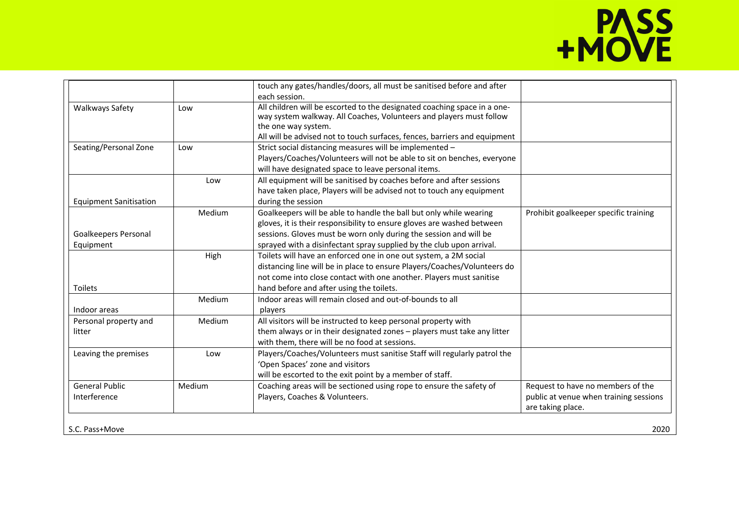## **PASS**<br>+MOVE

|                                       |        | touch any gates/handles/doors, all must be sanitised before and after<br>each session.                                                                                                                                                                                                                                                  |                                                                                                  |
|---------------------------------------|--------|-----------------------------------------------------------------------------------------------------------------------------------------------------------------------------------------------------------------------------------------------------------------------------------------------------------------------------------------|--------------------------------------------------------------------------------------------------|
| <b>Walkways Safety</b>                | Low    | All children will be escorted to the designated coaching space in a one-<br>way system walkway. All Coaches, Volunteers and players must follow<br>the one way system.<br>All will be advised not to touch surfaces, fences, barriers and equipment                                                                                     |                                                                                                  |
| Seating/Personal Zone                 | Low    | Strict social distancing measures will be implemented -<br>Players/Coaches/Volunteers will not be able to sit on benches, everyone<br>will have designated space to leave personal items.                                                                                                                                               |                                                                                                  |
| <b>Equipment Sanitisation</b>         | Low    | All equipment will be sanitised by coaches before and after sessions<br>have taken place, Players will be advised not to touch any equipment<br>during the session                                                                                                                                                                      |                                                                                                  |
| Goalkeepers Personal                  | Medium | Goalkeepers will be able to handle the ball but only while wearing<br>gloves, it is their responsibility to ensure gloves are washed between<br>sessions. Gloves must be worn only during the session and will be                                                                                                                       | Prohibit goalkeeper specific training                                                            |
| Equipment<br><b>Toilets</b>           | High   | sprayed with a disinfectant spray supplied by the club upon arrival.<br>Toilets will have an enforced one in one out system, a 2M social<br>distancing line will be in place to ensure Players/Coaches/Volunteers do<br>not come into close contact with one another. Players must sanitise<br>hand before and after using the toilets. |                                                                                                  |
| Indoor areas                          | Medium | Indoor areas will remain closed and out-of-bounds to all<br>players                                                                                                                                                                                                                                                                     |                                                                                                  |
| Personal property and<br>litter       | Medium | All visitors will be instructed to keep personal property with<br>them always or in their designated zones - players must take any litter<br>with them, there will be no food at sessions.                                                                                                                                              |                                                                                                  |
| Leaving the premises                  | Low    | Players/Coaches/Volunteers must sanitise Staff will regularly patrol the<br>'Open Spaces' zone and visitors<br>will be escorted to the exit point by a member of staff.                                                                                                                                                                 |                                                                                                  |
| <b>General Public</b><br>Interference | Medium | Coaching areas will be sectioned using rope to ensure the safety of<br>Players, Coaches & Volunteers.                                                                                                                                                                                                                                   | Request to have no members of the<br>public at venue when training sessions<br>are taking place. |